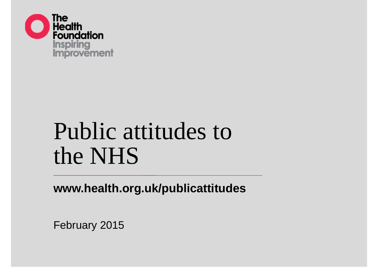

# Public attitudes to the NHS

**www.health.org.uk/publicattitudes**

February 2015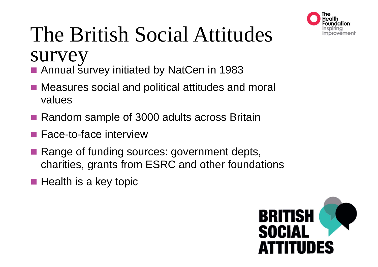

# The British Social Attitudes survey

- Annual survey initiated by NatCen in 1983
- Measures social and political attitudes and moral values
- Random sample of 3000 adults across Britain
- Face-to-face interview
- Range of funding sources: government depts, charities, grants from ESRC and other foundations
- **Health is a key topic**

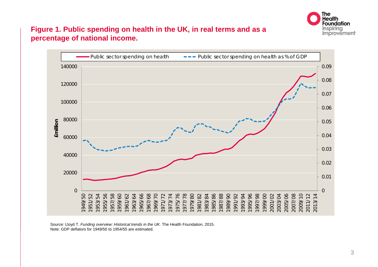

#### **Figure 1. Public spending on health in the UK, in real terms and as a percentage of national income.**



Source: Lloyd T. *Funding overview: Historical trends in the UK*. The Health Foundation, 2015. Note: GDP deflators for 1949/50 to 1954/55 are estimated.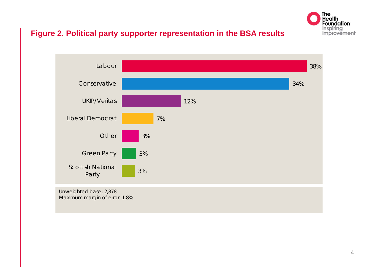

#### **Figure 2. Political party supporter representation in the BSA results**



Unweighted base: 2,878 Maximum margin of error: 1.8%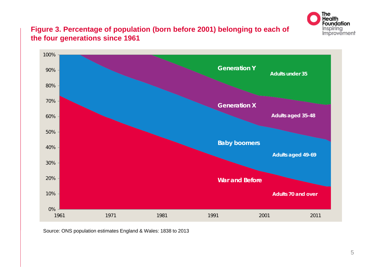

#### **Figure 3. Percentage of population (born before 2001) belonging to each of the four generations since 1961**



Source: ONS population estimates England & Wales: 1838 to 2013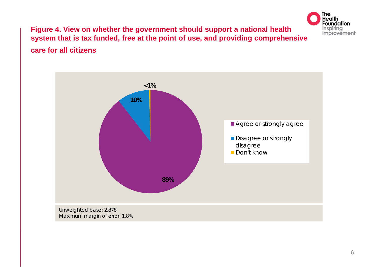

#### **Figure 4. View on whether the government should support a national health system that is tax funded, free at the point of use, and providing comprehensive care for all citizens**

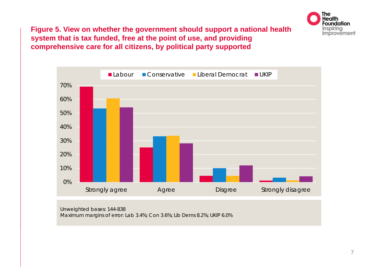

**Figure 5. View on whether the government should support a national health system that is tax funded, free at the point of use, and providing comprehensive care for all citizens, by political party supported**



Unweighted bases: 144-838 Maximum margins of error: Lab 3.4%; Con 3.6%; Lib Dems 8.2%; UKIP 6.0%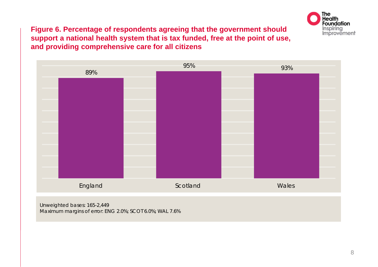

**Figure 6. Percentage of respondents agreeing that the government should support a national health system that is tax funded, free at the point of use, and providing comprehensive care for all citizens**



Maximum margins of error: ENG 2.0%; SCOT 6.0%; WAL 7.6%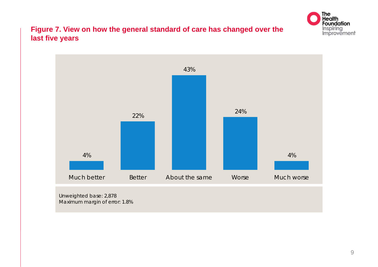

#### **Figure 7. View on how the general standard of care has changed over the last five years**

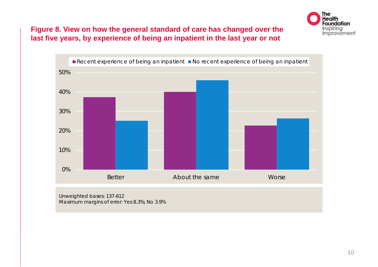

#### **Figure 8. View on how the general standard of care has changed over the last five years, by experience of being an inpatient in the last year or not**



Unweighted bases: 137-612 Maximum margins of error: Yes 8.3%; No 3.9%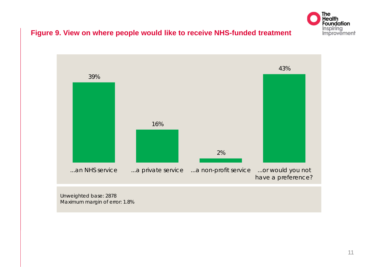

#### **Figure 9. View on where people would like to receive NHS-funded treatment**



Unweighted base: 2878 Maximum margin of error: 1.8%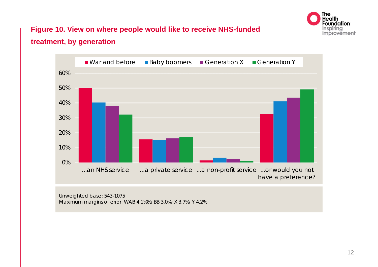

### **Figure 10. View on where people would like to receive NHS-funded treatment, by generation**



Unweighted base: 543-1075 Maximum margins of error: WAB 4.1%%; BB 3.0%; X 3.7%; Y 4.2%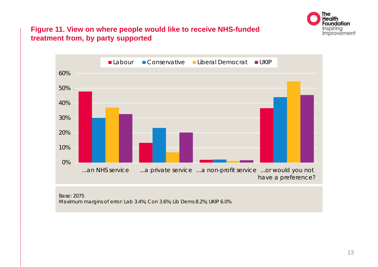

#### **Figure 11. View on where people would like to receive NHS-funded treatment from, by party supported**



Base: 2075 Maximum margins of error: Lab 3.4%; Con 3.6%; Lib Dems 8.2%; UKIP 6.0%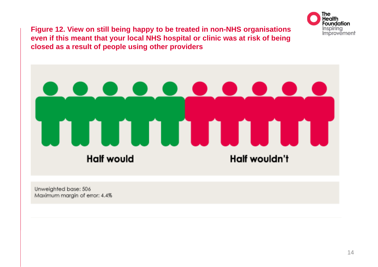

**Figure 12. View on still being happy to be treated in non-NHS organisations even if this meant that your local NHS hospital or clinic was at risk of being closed as a result of people using other providers**

# <u>. . . . . . .</u> **Half would** Half wouldn't

Unweighted base: 506 Maximum marain of error: 4.4%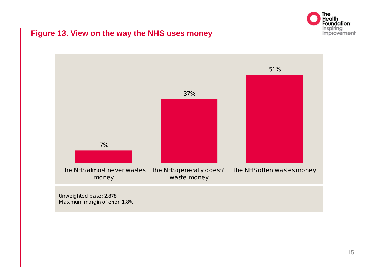

#### **Figure 13. View on the way the NHS uses money**

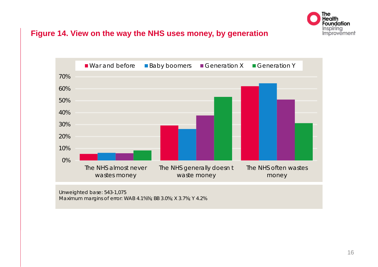

#### **Figure 14. View on the way the NHS uses money, by generation**



Unweighted base: 543-1,075 Maximum margins of error: WAB 4.1%%; BB 3.0%; X 3.7%; Y 4.2%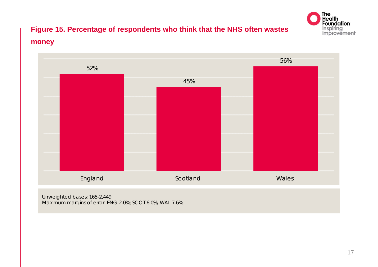

# **Figure 15. Percentage of respondents who think that the NHS often wastes money**



Maximum margins of error: ENG 2.0%; SCOT 6.0%; WAL 7.6%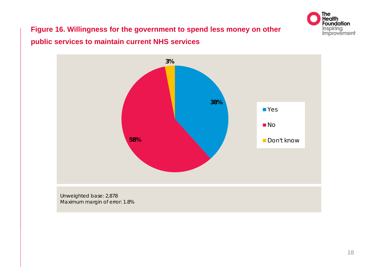

# **Figure 16. Willingness for the government to spend less money on other public services to maintain current NHS services**

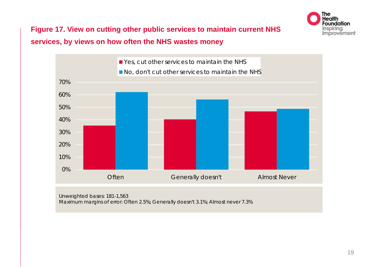

**Figure 17. View on cutting other public services to maintain current NHS services, by views on how often the NHS wastes money**



Unweighted bases: 181-1,563 Maximum margins of error: Often 2.5%; Generally doesn't 3.1%; Almost never 7.3%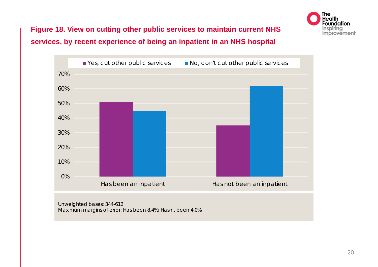

## **Figure 18. View on cutting other public services to maintain current NHS services, by recent experience of being an inpatient in an NHS hospital**



Unweighted bases: 344-612 Maximum margins of error: Has been 8.4%; Hasn't been 4.0%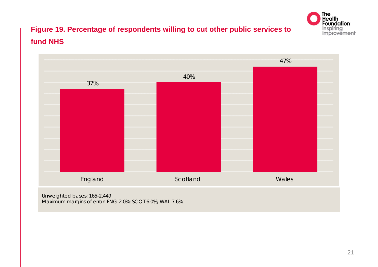

## **Figure 19. Percentage of respondents willing to cut other public services to fund NHS**

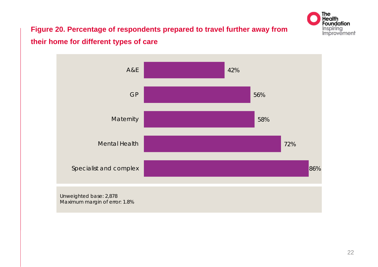

# **Figure 20. Percentage of respondents prepared to travel further away from their home for different types of care**

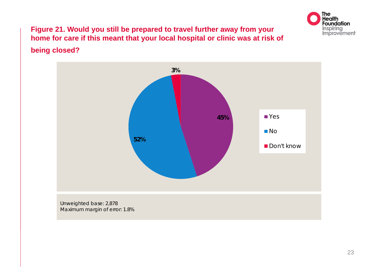

### **Figure 21. Would you still be prepared to travel further away from your home for care if this meant that your local hospital or clinic was at risk of being closed?**

# **45%52%3%TYes** ■No Don't know Unweighted base: 2,878

Maximum margin of error: 1.8%